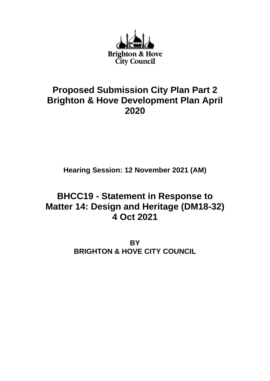

## **Proposed Submission City Plan Part 2 Brighton & Hove Development Plan April 2020**

**Hearing Session: 12 November 2021 (AM)**

# **BHCC19 - Statement in Response to Matter 14: Design and Heritage (DM18-32) 4 Oct 2021**

**BY BRIGHTON & HOVE CITY COUNCIL**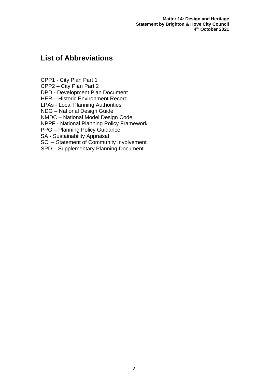**Matter 14: Design and Heritage Statement by Brighton & Hove City Council 4 th October 2021**

## **List of Abbreviations**

CPP1 - City Plan Part 1

CPP2 – City Plan Part 2

DPD - Development Plan Document

HER – Historic Environment Record

LPAs - Local Planning Authorities

NDG – National Design Guide

NMDC – National Model Design Code

NPPF - National Planning Policy Framework

PPG – Planning Policy Guidance

SA - Sustainability Appraisal

SCI – Statement of Community Involvement

SPD – Supplementary Planning Document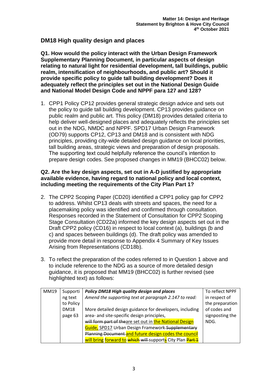## **DM18 High quality design and places**

**Q1. How would the policy interact with the Urban Design Framework Supplementary Planning Document, in particular aspects of design relating to natural light for residential development, tall buildings, public realm, intensification of neighbourhoods, and public art? Should it provide specific policy to guide tall building development? Does it adequately reflect the principles set out in the National Design Guide and National Model Design Code and NPPF para 127 and 128?** 

1. CPP1 Policy CP12 provides general strategic design advice and sets out the policy to guide tall building development. CP13 provides guidance on public realm and public art. This policy (DM18) provides detailed criteria to help deliver well-designed places and adequately reflects the principles set out in the NDG, NMDC and NPPF. SPD17 Urban Design Framework (OD79) supports CP12, CP13 and DM18 and is consistent with NDG principles, providing city-wide detailed design guidance on local priorities, tall building areas, strategic views and preparation of design proposals. The supporting text could helpfully reference the council's intention to prepare design codes. See proposed changes in MM19 (BHCC02) below.

#### **Q2. Are the key design aspects, set out in A-D justified by appropriate available evidence, having regard to national policy and local context, including meeting the requirements of the City Plan Part 1?**

- 2. The CPP2 Scoping Paper (CD20) identified a CPP1 policy gap for CPP2 to address. Whilst CP13 deals with streets and spaces, the need for a placemaking policy was identified and confirmed through consultation. Responses recorded in the Statement of Consultation for CPP2 Scoping Stage Consultation (CD22a) informed the key design aspects set out in the Draft CPP2 policy (CD16) in respect to local context (a), buildings (b and c) and spaces between buildings (d). The draft policy was amended to provide more detail in response to Appendix 4 Summary of Key Issues Arising from Representations (CD18b).
- 3. To reflect the preparation of the codes referred to in Question 1 above and to include reference to the NDG as a source of more detailed design guidance, it is proposed that MM19 (BHCC02) is further revised (see highlighted text) as follows:

| MM19 | Supporti    | Policy DM18 High quality design and places                 | To reflect NPPF |
|------|-------------|------------------------------------------------------------|-----------------|
|      | ng text     | Amend the supporting text at paragraph 2.147 to read:      | in respect of   |
|      | to Policy   |                                                            | the preparation |
|      | <b>DM18</b> | More detailed design guidance for developers, including    | of codes and    |
|      | page 63     | area- and site-specific design principles,                 | signposting the |
|      |             | will form part of theare set out in the National Design    | NDG.            |
|      |             | Guide, SPD17 Urban Design Framework-Supplementary          |                 |
|      |             | Planning Document and future design codes the council      |                 |
|      |             | will bring forward to which will supports City Plan Part 1 |                 |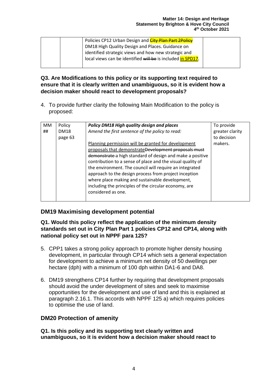| DM18 High Quality Design and Places. Guidance on<br>identified strategic views and how new strategic and<br>local views can be identified will be is included in SPD17. | Policies CP12 Urban Design and <i>City Plan Part 2Policy</i> |
|-------------------------------------------------------------------------------------------------------------------------------------------------------------------------|--------------------------------------------------------------|
|                                                                                                                                                                         |                                                              |
|                                                                                                                                                                         |                                                              |
|                                                                                                                                                                         |                                                              |

#### **Q3. Are Modifications to this policy or its supporting text required to ensure that it is clearly written and unambiguous, so it is evident how a decision maker should react to development proposals?**

4. To provide further clarity the following Main Modification to the policy is proposed:

| МM | Policy      | Policy DM18 High quality design and places                 | To provide      |
|----|-------------|------------------------------------------------------------|-----------------|
| ## | <b>DM18</b> | Amend the first sentence of the policy to read:            | greater clarity |
|    | page 63     |                                                            | to decision     |
|    |             | Planning permission will be granted for development        | makers.         |
|    |             | proposals that demonstrateDevelopment proposals must       |                 |
|    |             | demonstrate a high standard of design and make a positive  |                 |
|    |             | contribution to a sense of place and the visual quality of |                 |
|    |             | the environment. The council will require an integrated    |                 |
|    |             | approach to the design process from project inception      |                 |
|    |             | where place making and sustainable development,            |                 |
|    |             | including the principles of the circular economy, are      |                 |
|    |             | considered as one.                                         |                 |
|    |             |                                                            |                 |

## **DM19 Maximising development potential**

#### **Q1. Would this policy reflect the application of the minimum density standards set out in City Plan Part 1 policies CP12 and CP14, along with national policy set out in NPPF para 125?**

- 5. CPP1 takes a strong policy approach to promote higher density housing development, in particular through CP14 which sets a general expectation for development to achieve a minimum net density of 50 dwellings per hectare (dph) with a minimum of 100 dph within DA1-6 and DA8.
- 6. DM19 strengthens CP14 further by requiring that development proposals should avoid the under development of sites and seek to maximise opportunities for the development and use of land and this is explained at paragraph 2.16.1. This accords with NPPF 125 a) which requires policies to optimise the use of land.

## **DM20 Protection of amenity**

**Q1. Is this policy and its supporting text clearly written and unambiguous, so it is evident how a decision maker should react to**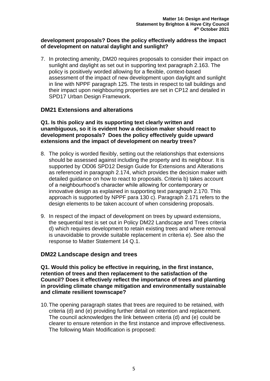#### **development proposals? Does the policy effectively address the impact of development on natural daylight and sunlight?**

7. In protecting amenity, DM20 requires proposals to consider their impact on sunlight and daylight as set out in supporting text paragraph 2.163. The policy is positively worded allowing for a flexible, context-based assessment of the impact of new development upon daylight and sunlight in line with NPPF paragraph 125. The tests in respect to tall buildings and their impact upon neighbouring properties are set in CP12 and detailed in SPD17 Urban Design Framework.

## **DM21 Extensions and alterations**

**Q1. Is this policy and its supporting text clearly written and unambiguous, so it is evident how a decision maker should react to development proposals? Does the policy effectively guide upward extensions and the impact of development on nearby trees?**

- 8. The policy is worded flexibly, setting out the relationships that extensions should be assessed against including the property and its neighbour. It is supported by OD06 SPD12 Design Guide for Extensions and Alterations as referenced in paragraph 2.174, which provides the decision maker with detailed guidance on how to react to proposals. Criteria b) takes account of a neighbourhood's character while allowing for contemporary or innovative design as explained in supporting text paragraph 2.170. This approach is supported by NPPF para 130 c). Paragraph 2.171 refers to the design elements to be taken account of when considering proposals.
- 9. In respect of the impact of development on trees by upward extensions, the sequential test is set out in Policy DM22 Landscape and Trees criteria d) which requires development to retain existing trees and where removal is unavoidable to provide suitable replacement in criteria e). See also the response to Matter Statement 14 Q.1.

#### **DM22 Landscape design and trees**

**Q1. Would this policy be effective in requiring, in the first instance, retention of trees and then replacement to the satisfaction of the Council? Does it effectively reflect the importance of trees and planting in providing climate change mitigation and environmentally sustainable and climate resilient townscape?** 

10.The opening paragraph states that trees are required to be retained, with criteria (d) and (e) providing further detail on retention and replacement. The council acknowledges the link between criteria (d) and (e) could be clearer to ensure retention in the first instance and improve effectiveness. The following Main Modification is proposed: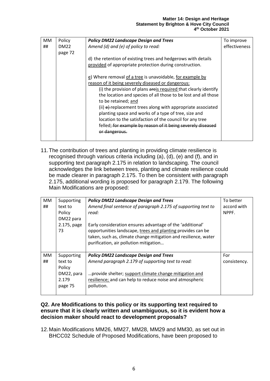| МM | Policy      | <b>Policy DM22 Landscape Design and Trees</b>                   | To improve    |
|----|-------------|-----------------------------------------------------------------|---------------|
| ## | <b>DM22</b> | Amend (d) and (e) of policy to read:                            | effectiveness |
|    | page 72     |                                                                 |               |
|    |             | d) the retention of existing trees and hedgerows with details   |               |
|    |             | provided of appropriate protection during construction.         |               |
|    |             | e) Where removal of a tree is unavoidable, for example by       |               |
|    |             | reason of it being severely diseased or dangerous:              |               |
|    |             | (i) the provision of plans areis required that clearly identify |               |
|    |             | the location and species of all those to be lost and all those  |               |
|    |             | to be retained; and                                             |               |
|    |             | (ii) $e$ ) replacement trees along with appropriate associated  |               |
|    |             | planting space and works of a type of tree, size and            |               |
|    |             | location to the satisfaction of the council for any tree        |               |
|    |             | felled; for example by reason of it being severely diseased     |               |
|    |             | <del>nr dangerous.</del>                                        |               |
|    |             |                                                                 |               |

11.The contribution of trees and planting in providing climate resilience is recognised through various criteria including (a), (d), (e) and (f), and in supporting text paragraph 2.175 in relation to landscaping. The council acknowledges the link between trees, planting and climate resilience could be made clearer in paragraph 2.175. To then be consistent with paragraph 2.175, additional wording is proposed for paragraph 2.179. The following Main Modifications are proposed:

| To better    |
|--------------|
|              |
| accord with  |
| NPPF.        |
|              |
|              |
|              |
|              |
|              |
|              |
| For          |
| consistency. |
|              |
|              |
|              |
|              |
|              |
|              |

#### **Q2. Are Modifications to this policy or its supporting text required to ensure that it is clearly written and unambiguous, so it is evident how a decision maker should react to development proposals?**

12.Main Modifications MM26, MM27, MM28, MM29 and MM30, as set out in BHCC02 Schedule of Proposed Modifications, have been proposed to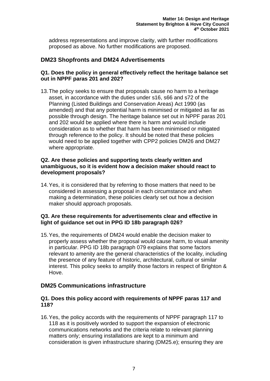address representations and improve clarity, with further modifications proposed as above. No further modifications are proposed.

## **DM23 Shopfronts and DM24 Advertisements**

#### **Q1. Does the policy in general effectively reflect the heritage balance set out in NPPF paras 201 and 202?**

13.The policy seeks to ensure that proposals cause no harm to a heritage asset, in accordance with the duties under s16, s66 and s72 of the Planning (Listed Buildings and Conservation Areas) Act 1990 (as amended) and that any potential harm is minimised or mitigated as far as possible through design. The heritage balance set out in NPPF paras 201 and 202 would be applied where there is harm and would include consideration as to whether that harm has been minimised or mitigated through reference to the policy. It should be noted that these policies would need to be applied together with CPP2 policies DM26 and DM27 where appropriate.

#### **Q2. Are these policies and supporting texts clearly written and unambiguous, so it is evident how a decision maker should react to development proposals?**

14.Yes, it is considered that by referring to those matters that need to be considered in assessing a proposal in each circumstance and when making a determination, these policies clearly set out how a decision maker should approach proposals.

#### **Q3. Are these requirements for advertisements clear and effective in light of guidance set out in PPG ID 18b paragraph 026?**

15.Yes, the requirements of DM24 would enable the decision maker to properly assess whether the proposal would cause harm, to visual amenity in particular. PPG ID 18b paragraph 079 explains that some factors relevant to amenity are the general characteristics of the locality, including the presence of any feature of historic, architectural, cultural or similar interest. This policy seeks to amplify those factors in respect of Brighton & Hove.

### **DM25 Communications infrastructure**

#### **Q1. Does this policy accord with requirements of NPPF paras 117 and 118?**

16.Yes, the policy accords with the requirements of NPPF paragraph 117 to 118 as it is positively worded to support the expansion of electronic communications networks and the criteria relate to relevant planning matters only; ensuring installations are kept to a minimum and consideration is given infrastructure sharing (DM25.e); ensuring they are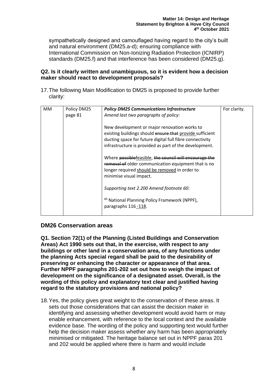sympathetically designed and camouflaged having regard to the city's built and natural environment (DM25.a-d); ensuring compliance with International Commission on Non-Ionizing Radiation Protection (ICNIRP) standards (DM25.f) and that interference has been considered (DM25.g).

#### **Q2. Is it clearly written and unambiguous, so it is evident how a decision maker should react to development proposals?**

17.The following Main Modification to DM25 is proposed to provide further clarity:

| MM | Policy DM25<br>page 81 | <b>Policy DM25 Communications Infrastructure</b><br>Amend last two paragraphs of policy:<br>New development or major renovation works to<br>existing buildings should ensure that provide sufficient<br>ducting space for future digital full fibre connectivity<br>infrastructure is provided as part of the development.<br>Where possiblefeasible, the council will encourage the<br>removal of older communication equipment that is no | For clarity. |
|----|------------------------|---------------------------------------------------------------------------------------------------------------------------------------------------------------------------------------------------------------------------------------------------------------------------------------------------------------------------------------------------------------------------------------------------------------------------------------------|--------------|
|    |                        | longer required should be removed in order to<br>minimise visual impact.                                                                                                                                                                                                                                                                                                                                                                    |              |
|    |                        | Supporting text 2.200 Amend footnote 60:                                                                                                                                                                                                                                                                                                                                                                                                    |              |
|    |                        | <sup>60</sup> National Planning Policy Framework (NPPF),<br>paragraphs 116 -118.                                                                                                                                                                                                                                                                                                                                                            |              |

### **DM26 Conservation areas**

**Q1. Section 72(1) of the Planning (Listed Buildings and Conservation Areas) Act 1990 sets out that, in the exercise, with respect to any buildings or other land in a conservation area, of any functions under the planning Acts special regard shall be paid to the desirability of preserving or enhancing the character or appearance of that area. Further NPPF paragraphs 201-202 set out how to weigh the impact of development on the significance of a designated asset. Overall, is the wording of this policy and explanatory text clear and justified having regard to the statutory provisions and national policy?**

18.Yes, the policy gives great weight to the conservation of these areas. It sets out those considerations that can assist the decision maker in identifying and assessing whether development would avoid harm or may enable enhancement, with reference to the local context and the available evidence base. The wording of the policy and supporting text would further help the decision maker assess whether any harm has been appropriately minimised or mitigated. The heritage balance set out in NPPF paras 201 and 202 would be applied where there is harm and would include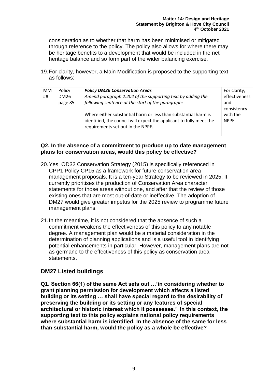consideration as to whether that harm has been minimised or mitigated through reference to the policy. The policy also allows for where there may be heritage benefits to a development that would be included in the net heritage balance and so form part of the wider balancing exercise.

19.For clarity, however, a Main Modification is proposed to the supporting text as follows:

| <b>MM</b> | Policy      | <b>Policy DM26 Conservation Areas</b>                               | For clarity,  |
|-----------|-------------|---------------------------------------------------------------------|---------------|
| ##        | <b>DM26</b> | Amend paragraph 2.204 of the supporting text by adding the          | effectiveness |
|           | page 85     | following sentence at the start of the paragraph:                   | and           |
|           |             |                                                                     | consistency   |
|           |             | Where either substantial harm or less than substantial harm is      | with the      |
|           |             | identified, the council will expect the applicant to fully meet the | NPPF.         |
|           |             | requirements set out in the NPPF.                                   |               |
|           |             |                                                                     |               |

#### **Q2. In the absence of a commitment to produce up to date management plans for conservation areas, would this policy be effective?**

- 20.Yes, OD32 Conservation Strategy (2015) is specifically referenced in CPP1 Policy CP15 as a framework for future conservation area management proposals. It is a ten-year Strategy to be reviewed in 2025. It currently prioritises the production of Conservation Area character statements for those areas without one, and after that the review of those existing ones that are most out-of-date or ineffective. The adoption of DM27 would give greater impetus for the 2025 review to programme future management plans.
- 21.In the meantime, it is not considered that the absence of such a commitment weakens the effectiveness of this policy to any notable degree. A management plan would be a material consideration in the determination of planning applications and is a useful tool in identifying potential enhancements in particular. However, management plans are not as germane to the effectiveness of this policy as conservation area statements.

## **DM27 Listed buildings**

**Q1. Section 66(1) of the same Act sets out …'in considering whether to grant planning permission for development which affects a listed building or its setting … shall have special regard to the desirability of preserving the building or its setting or any features of special architectural or historic interest which it possesses.' In this context, the supporting text to this policy explains national policy requirements where substantial harm is identified. In the absence of the same for less than substantial harm, would the policy as a whole be effective?**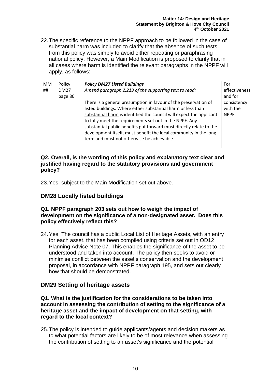22.The specific reference to the NPPF approach to be followed in the case of substantial harm was included to clarify that the absence of such tests from this policy was simply to avoid either repeating or paraphrasing national policy. However, a Main Modification is proposed to clarify that in all cases where harm is identified the relevant paragraphs in the NPPF will apply, as follows:

| <b>MM</b><br>## | Policy<br><b>DM27</b><br>page 86 | <b>Policy DM27 Listed Buildings</b><br>Amend paragraph 2.213 of the supporting text to read:<br>There is a general presumption in favour of the preservation of<br>listed buildings. Where either substantial harm or less than<br>substantial harm is identified the council will expect the applicant<br>to fully meet the requirements set out in the NPPF. Any<br>substantial public benefits put forward must directly relate to the<br>development itself, must benefit the local community in the long | For<br>effectiveness<br>and for<br>consistency<br>with the<br>NPPF. |
|-----------------|----------------------------------|---------------------------------------------------------------------------------------------------------------------------------------------------------------------------------------------------------------------------------------------------------------------------------------------------------------------------------------------------------------------------------------------------------------------------------------------------------------------------------------------------------------|---------------------------------------------------------------------|
|                 |                                  | term and must not otherwise be achievable.                                                                                                                                                                                                                                                                                                                                                                                                                                                                    |                                                                     |

#### **Q2. Overall, is the wording of this policy and explanatory text clear and justified having regard to the statutory provisions and government policy?**

23.Yes, subject to the Main Modification set out above.

## **DM28 Locally listed buildings**

#### **Q1. NPPF paragraph 203 sets out how to weigh the impact of development on the significance of a non-designated asset. Does this policy effectively reflect this?**

24.Yes. The council has a public Local List of Heritage Assets, with an entry for each asset, that has been compiled using criteria set out in OD12 Planning Advice Note 07. This enables the significance of the asset to be understood and taken into account. The policy then seeks to avoid or minimise conflict between the asset's conservation and the development proposal, in accordance with NPPF paragraph 195, and sets out clearly how that should be demonstrated.

## **DM29 Setting of heritage assets**

#### **Q1. What is the justification for the considerations to be taken into account in assessing the contribution of setting to the significance of a heritage asset and the impact of development on that setting, with regard to the local context?**

25.The policy is intended to guide applicants/agents and decision makers as to what potential factors are likely to be of most relevance when assessing the contribution of setting to an asset's significance and the potential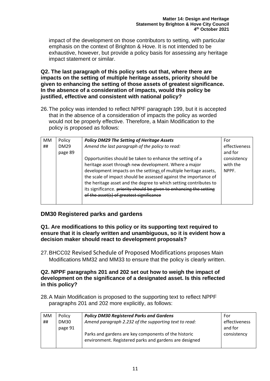impact of the development on those contributors to setting, with particular emphasis on the context of Brighton & Hove. It is not intended to be exhaustive, however, but provide a policy basis for assessing any heritage impact statement or similar.

**Q2. The last paragraph of this policy sets out that, where there are impacts on the setting of multiple heritage assets, priority should be given to enhancing the setting of those assets of greatest significance. In the absence of a consideration of impacts, would this policy be justified, effective and consistent with national policy?** 

26.The policy was intended to reflect NPPF paragraph 199, but it is accepted that in the absence of a consideration of impacts the policy as worded would not be properly effective. Therefore, a Main Modification to the policy is proposed as follows:

| MM | Policy      | <b>Policy DM29 The Setting of Heritage Assets</b>                   | For           |
|----|-------------|---------------------------------------------------------------------|---------------|
| ## | <b>DM29</b> | Amend the last paragraph of the policy to read:                     | effectiveness |
|    | page 89     |                                                                     | and for       |
|    |             | Opportunities should be taken to enhance the setting of a           | consistency   |
|    |             | heritage asset through new development. Where a major               | with the      |
|    |             | development impacts on the settings of multiple heritage assets,    | NPPF.         |
|    |             | the scale of impact should be assessed against the importance of    |               |
|    |             | the heritage asset and the degree to which setting contributes to   |               |
|    |             | its significance. priority should be given to enhancing the setting |               |
|    |             | of the asset(s) of greatest significance                            |               |
|    |             |                                                                     |               |

## **DM30 Registered parks and gardens**

**Q1. Are modifications to this policy or its supporting text required to ensure that it is clearly written and unambiguous, so it is evident how a decision maker should react to development proposals?** 

27.BHCC02 Revised Schedule of Proposed Modifications proposes Main Modifications MM32 and MM33 to ensure that the policy is clearly written.

#### **Q2. NPPF paragraphs 201 and 202 set out how to weigh the impact of development on the significance of a designated asset. Is this reflected in this policy?**

28.A Main Modification is proposed to the supporting text to reflect NPPF paragraphs 201 and 202 more explicitly, as follows:

| <b>MM</b> | Policy      | <b>Policy DM30 Registered Parks and Gardens</b>                                                                | For           |
|-----------|-------------|----------------------------------------------------------------------------------------------------------------|---------------|
| ##        | <b>DM30</b> | Amend paragraph 2.232 of the supporting text to read:                                                          | effectiveness |
|           | page 91     |                                                                                                                | and for       |
|           |             | Parks and gardens are key components of the historic<br>environment. Registered parks and gardens are designed | consistency   |
|           |             |                                                                                                                |               |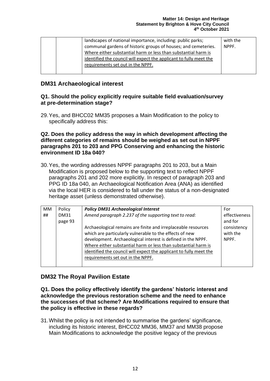| landscapes of national importance, including: public parks;        | with the |
|--------------------------------------------------------------------|----------|
| communal gardens of historic groups of houses; and cemeteries.     | NPPF.    |
| Where either substantial harm or less than substantial harm is     |          |
| identified the council will expect the applicant to fully meet the |          |
| requirements set out in the NPPF.                                  |          |
|                                                                    |          |

## **DM31 Archaeological interest**

#### **Q1. Should the policy explicitly require suitable field evaluation/survey at pre-determination stage?**

29.Yes, and BHCC02 MM35 proposes a Main Modification to the policy to specifically address this:

#### **Q2. Does the policy address the way in which development affecting the different categories of remains should be weighed as set out in NPPF paragraphs 201 to 203 and PPG Conserving and enhancing the historic environment ID 18a 040?**

30.Yes, the wording addresses NPPF paragraphs 201 to 203, but a Main Modification is proposed below to the supporting text to reflect NPPF paragraphs 201 and 202 more explicitly. In respect of paragraph 203 and PPG ID 18a 040, an Archaeological Notification Area (ANA) as identified via the local HER is considered to fall under the status of a non-designated heritage asset (unless demonstrated otherwise).

| <b>MM</b> | Policy      | <b>Policy DM31 Archaeological Interest</b>                         | For           |
|-----------|-------------|--------------------------------------------------------------------|---------------|
| ##        | <b>DM31</b> | Amend paragraph 2.237 of the supporting text to read:              | effectiveness |
|           | page 93     |                                                                    | and for       |
|           |             | Archaeological remains are finite and irreplaceable resources      | consistency   |
|           |             | which are particularly vulnerable to the effects of new            | with the      |
|           |             | development. Archaeological interest is defined in the NPPF.       | NPPF.         |
|           |             | Where either substantial harm or less than substantial harm is     |               |
|           |             | identified the council will expect the applicant to fully meet the |               |
|           |             | requirements set out in the NPPF.                                  |               |
|           |             |                                                                    |               |

## **DM32 The Royal Pavilion Estate**

**Q1. Does the policy effectively identify the gardens' historic interest and acknowledge the previous restoration scheme and the need to enhance the successes of that scheme? Are Modifications required to ensure that the policy is effective in these regards?**

31.Whilst the policy is not intended to summarise the gardens' significance, including its historic interest, BHCC02 MM36, MM37 and MM38 propose Main Modifications to acknowledge the positive legacy of the previous